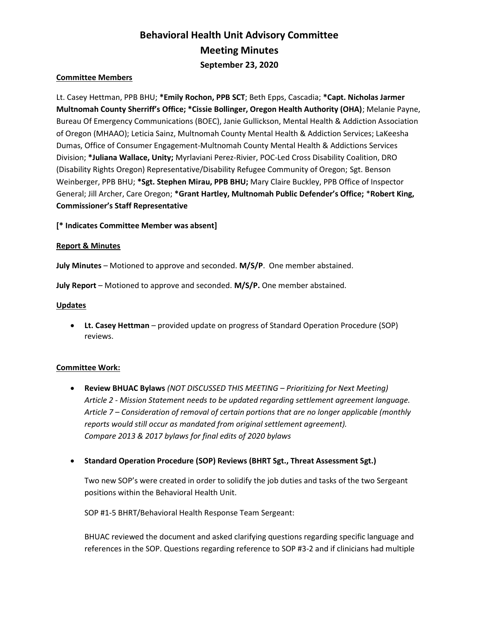# Behavioral Health Unit Advisory Committee Meeting Minutes September 23, 2020

### Committee Members

Lt. Casey Hettman, PPB BHU; \*Emily Rochon, PPB SCT; Beth Epps, Cascadia; \*Capt. Nicholas Jarmer Multnomah County Sherriff's Office; \*Cissie Bollinger, Oregon Health Authority (OHA); Melanie Payne, Bureau Of Emergency Communications (BOEC), Janie Gullickson, Mental Health & Addiction Association of Oregon (MHAAO); Leticia Sainz, Multnomah County Mental Health & Addiction Services; LaKeesha Dumas, Office of Consumer Engagement-Multnomah County Mental Health & Addictions Services Division; \*Juliana Wallace, Unity; Myrlaviani Perez-Rivier, POC-Led Cross Disability Coalition, DRO (Disability Rights Oregon) Representative/Disability Refugee Community of Oregon; Sgt. Benson Weinberger, PPB BHU; \*Sgt. Stephen Mirau, PPB BHU; Mary Claire Buckley, PPB Office of Inspector General; Jill Archer, Care Oregon; \*Grant Hartley, Multnomah Public Defender's Office; \*Robert King, Commissioner's Staff Representative

[\* Indicates Committee Member was absent]

### Report & Minutes

July Minutes – Motioned to approve and seconded. M/S/P. One member abstained.

July Report – Motioned to approve and seconded. M/S/P. One member abstained.

#### **Updates**

 Lt. Casey Hettman – provided update on progress of Standard Operation Procedure (SOP) reviews.

### Committee Work:

- Review BHUAC Bylaws (NOT DISCUSSED THIS MEETING Prioritizing for Next Meeting) Article 2 - Mission Statement needs to be updated regarding settlement agreement language. Article 7 – Consideration of removal of certain portions that are no longer applicable (monthly reports would still occur as mandated from original settlement agreement). Compare 2013 & 2017 bylaws for final edits of 2020 bylaws
- Standard Operation Procedure (SOP) Reviews (BHRT Sgt., Threat Assessment Sgt.)

Two new SOP's were created in order to solidify the job duties and tasks of the two Sergeant positions within the Behavioral Health Unit.

SOP #1-5 BHRT/Behavioral Health Response Team Sergeant:

BHUAC reviewed the document and asked clarifying questions regarding specific language and references in the SOP. Questions regarding reference to SOP #3-2 and if clinicians had multiple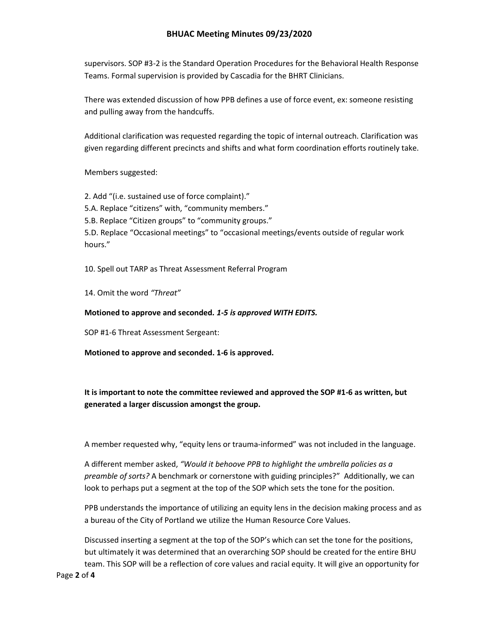## BHUAC Meeting Minutes 09/23/2020

supervisors. SOP #3-2 is the Standard Operation Procedures for the Behavioral Health Response Teams. Formal supervision is provided by Cascadia for the BHRT Clinicians.

There was extended discussion of how PPB defines a use of force event, ex: someone resisting and pulling away from the handcuffs.

Additional clarification was requested regarding the topic of internal outreach. Clarification was given regarding different precincts and shifts and what form coordination efforts routinely take.

Members suggested:

2. Add "(i.e. sustained use of force complaint)." 5.A. Replace "citizens" with, "community members." 5.B. Replace "Citizen groups" to "community groups." 5.D. Replace "Occasional meetings" to "occasional meetings/events outside of regular work hours."

10. Spell out TARP as Threat Assessment Referral Program

14. Omit the word "Threat"

Motioned to approve and seconded. 1-5 is approved WITH EDITS.

SOP #1-6 Threat Assessment Sergeant:

Motioned to approve and seconded. 1-6 is approved.

It is important to note the committee reviewed and approved the SOP #1-6 as written, but generated a larger discussion amongst the group.

A member requested why, "equity lens or trauma-informed" was not included in the language.

A different member asked, "Would it behoove PPB to highlight the umbrella policies as a preamble of sorts? A benchmark or cornerstone with guiding principles?" Additionally, we can look to perhaps put a segment at the top of the SOP which sets the tone for the position.

PPB understands the importance of utilizing an equity lens in the decision making process and as a bureau of the City of Portland we utilize the Human Resource Core Values.

Discussed inserting a segment at the top of the SOP's which can set the tone for the positions, but ultimately it was determined that an overarching SOP should be created for the entire BHU team. This SOP will be a reflection of core values and racial equity. It will give an opportunity for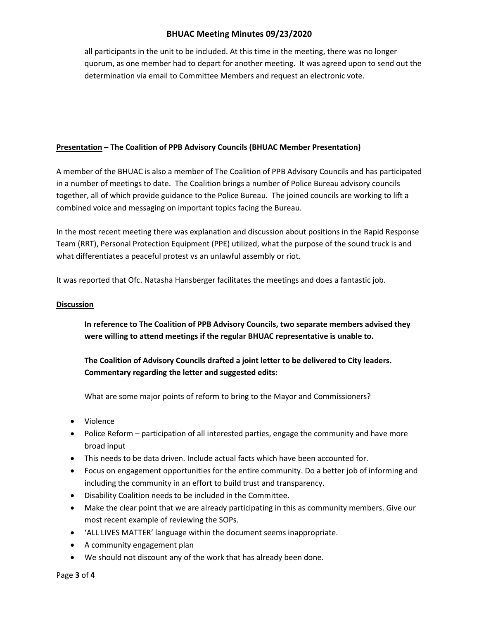## BHUAC Meeting Minutes 09/23/2020

all participants in the unit to be included. At this time in the meeting, there was no longer quorum, as one member had to depart for another meeting. It was agreed upon to send out the determination via email to Committee Members and request an electronic vote.

## Presentation – The Coalition of PPB Advisory Councils (BHUAC Member Presentation)

A member of the BHUAC is also a member of The Coalition of PPB Advisory Councils and has participated in a number of meetings to date. The Coalition brings a number of Police Bureau advisory councils together, all of which provide guidance to the Police Bureau. The joined councils are working to lift a combined voice and messaging on important topics facing the Bureau.

In the most recent meeting there was explanation and discussion about positions in the Rapid Response Team (RRT), Personal Protection Equipment (PPE) utilized, what the purpose of the sound truck is and what differentiates a peaceful protest vs an unlawful assembly or riot.

It was reported that Ofc. Natasha Hansberger facilitates the meetings and does a fantastic job.

### **Discussion**

In reference to The Coalition of PPB Advisory Councils, two separate members advised they were willing to attend meetings if the regular BHUAC representative is unable to.

The Coalition of Advisory Councils drafted a joint letter to be delivered to City leaders. Commentary regarding the letter and suggested edits:

What are some major points of reform to bring to the Mayor and Commissioners?

- Violence
- Police Reform participation of all interested parties, engage the community and have more broad input
- This needs to be data driven. Include actual facts which have been accounted for.
- Focus on engagement opportunities for the entire community. Do a better job of informing and including the community in an effort to build trust and transparency.
- Disability Coalition needs to be included in the Committee.
- Make the clear point that we are already participating in this as community members. Give our most recent example of reviewing the SOPs.
- 'ALL LIVES MATTER' language within the document seems inappropriate.
- A community engagement plan
- We should not discount any of the work that has already been done.